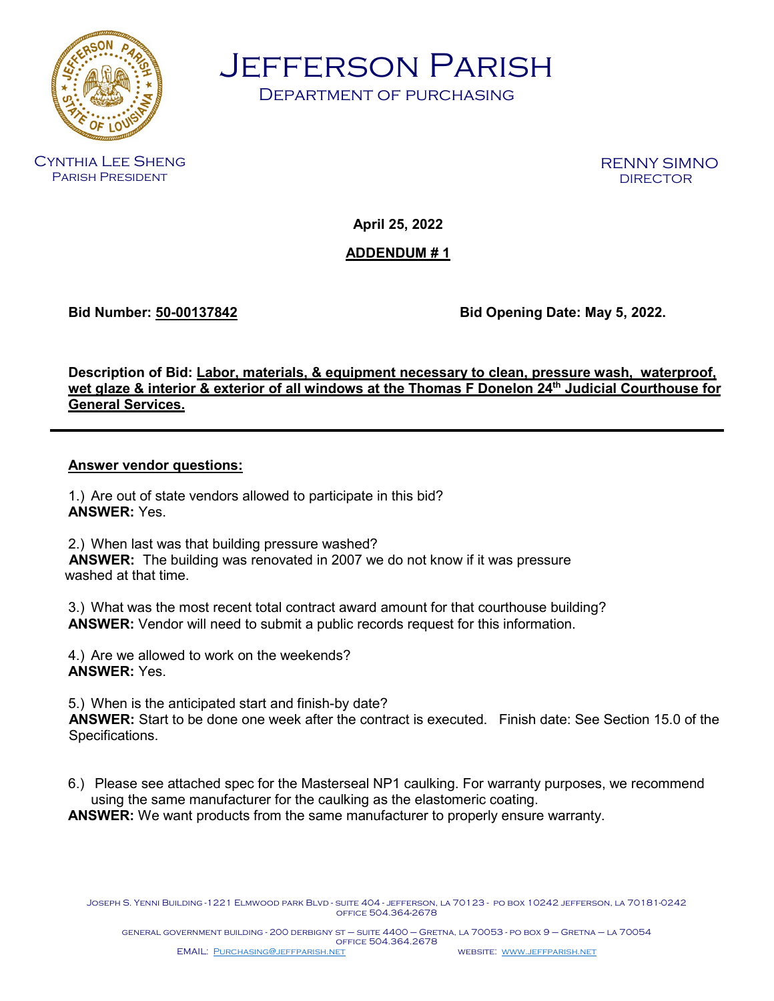

Jefferson Parish

Department of purchasing

Cynthia Lee Sheng Parish President

RENNY SIMNO

**April 25, 2022**

**ADDENDUM # 1**

**Bid Number: 50-00137842 Bid Opening Date: May 5, 2022.**

**Description of Bid: Labor, materials, & equipment necessary to clean, pressure wash, waterproof, wet glaze & interior & exterior of all windows at the Thomas F Donelon 24th Judicial Courthouse for General Services.**

## **Answer vendor questions:**

1.) Are out of state vendors allowed to participate in this bid? **ANSWER:** Yes.

2.) When last was that building pressure washed? **ANSWER:** The building was renovated in 2007 we do not know if it was pressure washed at that time.

3.) What was the most recent total contract award amount for that courthouse building? **ANSWER:** Vendor will need to submit a public records request for this information.

4.) Are we allowed to work on the weekends? **ANSWER:** Yes.

5.) When is the anticipated start and finish-by date?

 **ANSWER:** Start to be done one week after the contract is executed. Finish date: See Section 15.0 of the Specifications.

6.) Please see attached spec for the Masterseal NP1 caulking. For warranty purposes, we recommend using the same manufacturer for the caulking as the elastomeric coating.

**ANSWER:** We want products from the same manufacturer to properly ensure warranty.

Joseph S. Yenni Building -1221 Elmwood park Blvd - suite 404 - jefferson, la 70123 - po box 10242 jefferson, la 70181-0242 office 504.364-2678